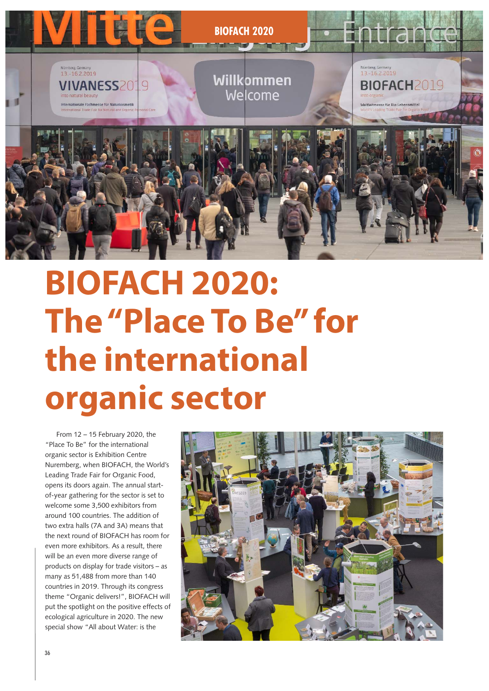

# **BIOFACH 2020: The "Place To Be" for the international organic sector** From 12 – 15 February 2020, the

From 12 – 15 February 2020, the "Place To Be" for the international organic sector is Exhibition Centre Nuremberg, when BIOFACH, the World's Leading Trade Fair for Organic Food, opens its doors again. The annual startof-year gathering for the sector is set to welcome some 3,500 exhibitors from around 100 countries. The addition of two extra halls (7A and 3A) means that the next round of BIOFACH has room for even more exhibitors. As a result, there will be an even more diverse range of products on display for trade visitors – as many as 51,488 from more than 140 countries in 2019. Through its congress theme "Organic delivers!", BIOFACH will put the spotlight on the positive effects of ecological agriculture in 2020. The new special show "All about Water: is the

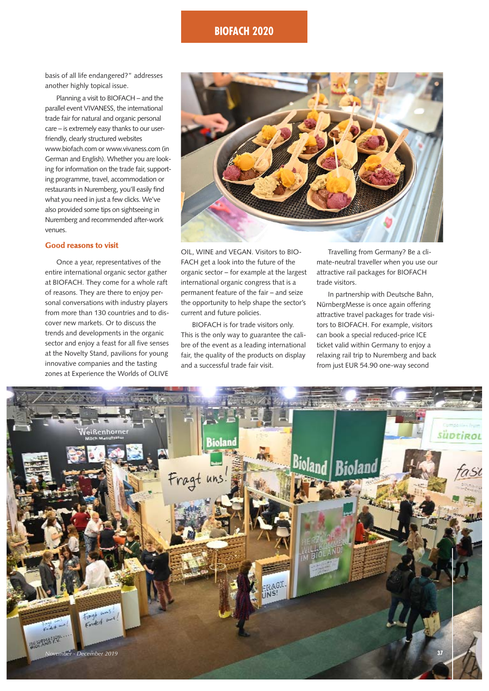

basis of all life endangered?" addresses another highly topical issue.

Planning a visit to BIOFACH – and the parallel event VIVANESS, the international trade fair for natural and organic personal care – is extremely easy thanks to our userfriendly, clearly structured websites www.biofach.com or www.vivaness.com (in German and English). Whether you are looking for information on the trade fair, supporting programme, travel, accommodation or restaurants in Nuremberg, you'll easily find what you need in just a few clicks. We've also provided some tips on sightseeing in Nuremberg and recommended after-work venues.

#### **Good reasons to visit**

Once a year, representatives of the entire international organic sector gather at BIOFACH. They come for a whole raft of reasons. They are there to enjoy personal conversations with industry players from more than 130 countries and to discover new markets. Or to discuss the trends and developments in the organic sector and enjoy a feast for all five senses at the Novelty Stand, pavilions for young innovative companies and the tasting zones at Experience the Worlds of OLIVE



OIL, WINE and VEGAN. Visitors to BIO-FACH get a look into the future of the organic sector – for example at the largest international organic congress that is a permanent feature of the fair – and seize the opportunity to help shape the sector's current and future policies.

BIOFACH is for trade visitors only. This is the only way to guarantee the calibre of the event as a leading international fair, the quality of the products on display and a successful trade fair visit.

Travelling from Germany? Be a climate-neutral traveller when you use our attractive rail packages for BIOFACH trade visitors.

In partnership with Deutsche Bahn, NürnbergMesse is once again offering attractive travel packages for trade visitors to BIOFACH. For example, visitors can book a special reduced-price ICE ticket valid within Germany to enjoy a relaxing rail trip to Nuremberg and back from just EUR 54.90 one-way second

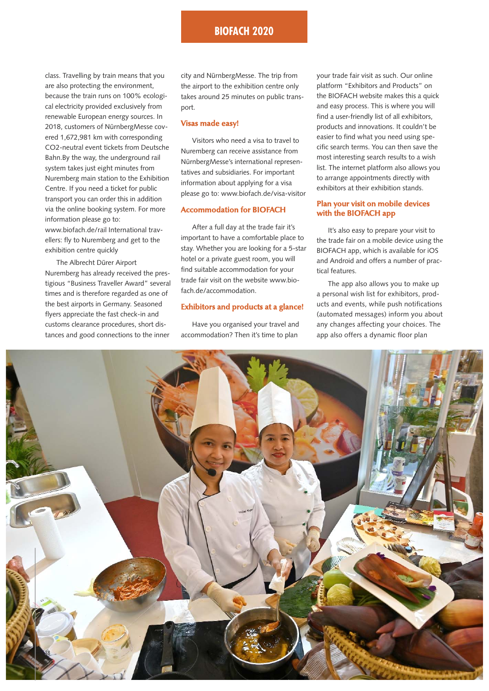class. Travelling by train means that you are also protecting the environment, because the train runs on 100% ecological electricity provided exclusively from renewable European energy sources. In 2018, customers of NürnbergMesse covered 1,672,981 km with corresponding CO2-neutral event tickets from Deutsche Bahn.By the way, the underground rail system takes just eight minutes from Nuremberg main station to the Exhibition Centre. If you need a ticket for public transport you can order this in addition via the online booking system. For more information please go to: www.biofach.de/rail International travellers: fly to Nuremberg and get to the exhibition centre quickly

The Albrecht Dürer Airport Nuremberg has already received the prestigious "Business Traveller Award" several times and is therefore regarded as one of the best airports in Germany. Seasoned flyers appreciate the fast check-in and customs clearance procedures, short distances and good connections to the inner

city and NürnbergMesse. The trip from the airport to the exhibition centre only takes around 25 minutes on public transport.

#### **Visas made easy!**

Visitors who need a visa to travel to Nuremberg can receive assistance from NürnbergMesse's international representatives and subsidiaries. For important information about applying for a visa please go to: www.biofach.de/visa-visitor

#### **Accommodation for BIOFACH**

After a full day at the trade fair it's important to have a comfortable place to stay. Whether you are looking for a 5-star hotel or a private guest room, you will find suitable accommodation for your trade fair visit on the website www.biofach.de/accommodation.

#### **Exhibitors and products at a glance!**

Have you organised your travel and accommodation? Then it's time to plan

your trade fair visit as such. Our online platform "Exhibitors and Products" on the BIOFACH website makes this a quick and easy process. This is where you will find a user-friendly list of all exhibitors, products and innovations. It couldn't be easier to find what you need using specific search terms. You can then save the most interesting search results to a wish list. The internet platform also allows you to arrange appointments directly with exhibitors at their exhibition stands.

#### **Plan your visit on mobile devices with the BIOFACH app**

It's also easy to prepare your visit to the trade fair on a mobile device using the BIOFACH app, which is available for iOS and Android and offers a number of practical features.

The app also allows you to make up a personal wish list for exhibitors, products and events, while push notifications (automated messages) inform you about any changes affecting your choices. The app also offers a dynamic floor plan